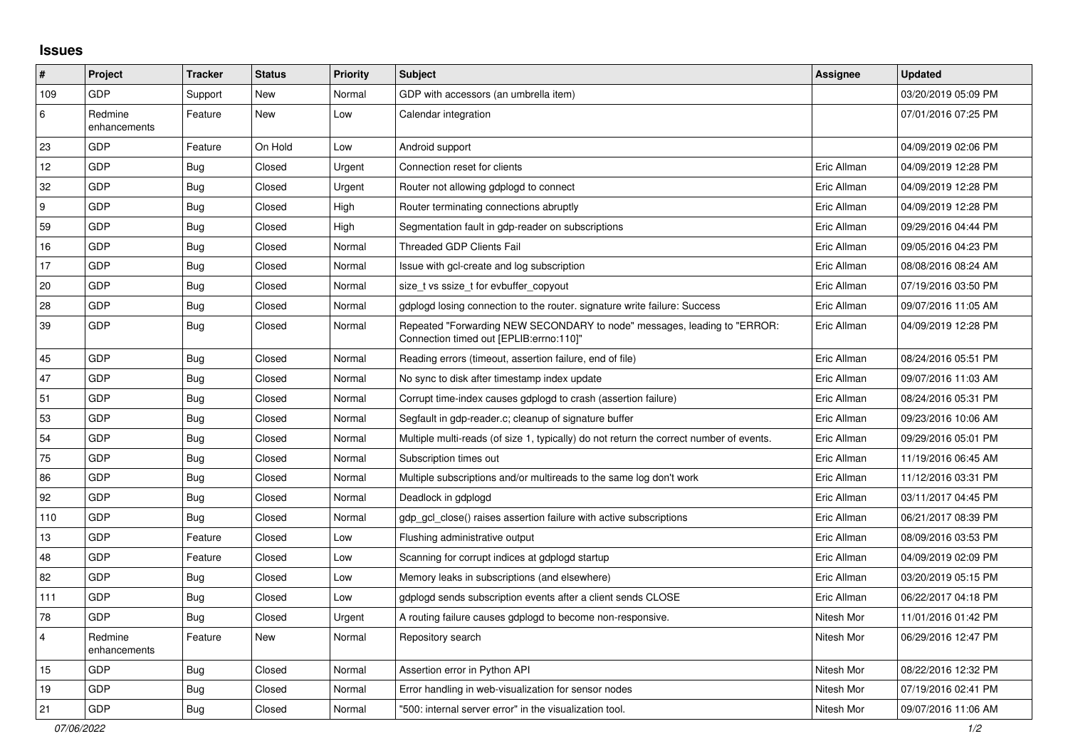## **Issues**

| $\sharp$       | Project                 | <b>Tracker</b> | <b>Status</b> | <b>Priority</b> | <b>Subject</b>                                                                                                      | <b>Assignee</b> | <b>Updated</b>      |
|----------------|-------------------------|----------------|---------------|-----------------|---------------------------------------------------------------------------------------------------------------------|-----------------|---------------------|
| 109            | <b>GDP</b>              | Support        | New           | Normal          | GDP with accessors (an umbrella item)                                                                               |                 | 03/20/2019 05:09 PM |
| 6              | Redmine<br>enhancements | Feature        | <b>New</b>    | Low             | Calendar integration                                                                                                |                 | 07/01/2016 07:25 PM |
| 23             | GDP                     | Feature        | On Hold       | Low             | Android support                                                                                                     |                 | 04/09/2019 02:06 PM |
| 12             | GDP                     | <b>Bug</b>     | Closed        | Urgent          | Connection reset for clients                                                                                        | Eric Allman     | 04/09/2019 12:28 PM |
| 32             | GDP                     | Bug            | Closed        | Urgent          | Router not allowing gdplogd to connect                                                                              | Eric Allman     | 04/09/2019 12:28 PM |
| 9              | GDP                     | <b>Bug</b>     | Closed        | High            | Router terminating connections abruptly                                                                             | Eric Allman     | 04/09/2019 12:28 PM |
| 59             | <b>GDP</b>              | Bug            | Closed        | High            | Segmentation fault in gdp-reader on subscriptions                                                                   | Eric Allman     | 09/29/2016 04:44 PM |
| 16             | GDP                     | <b>Bug</b>     | Closed        | Normal          | <b>Threaded GDP Clients Fail</b>                                                                                    | Eric Allman     | 09/05/2016 04:23 PM |
| 17             | GDP                     | Bug            | Closed        | Normal          | Issue with gcl-create and log subscription                                                                          | Eric Allman     | 08/08/2016 08:24 AM |
| 20             | <b>GDP</b>              | <b>Bug</b>     | Closed        | Normal          | size t vs ssize t for evbuffer copyout                                                                              | Eric Allman     | 07/19/2016 03:50 PM |
| 28             | GDP                     | <b>Bug</b>     | Closed        | Normal          | gdplogd losing connection to the router, signature write failure: Success                                           | Eric Allman     | 09/07/2016 11:05 AM |
| 39             | <b>GDP</b>              | <b>Bug</b>     | Closed        | Normal          | Repeated "Forwarding NEW SECONDARY to node" messages, leading to "ERROR:<br>Connection timed out [EPLIB:errno:110]" | Eric Allman     | 04/09/2019 12:28 PM |
| 45             | GDP                     | <b>Bug</b>     | Closed        | Normal          | Reading errors (timeout, assertion failure, end of file)                                                            | Eric Allman     | 08/24/2016 05:51 PM |
| 47             | GDP                     | <b>Bug</b>     | Closed        | Normal          | No sync to disk after timestamp index update                                                                        | Eric Allman     | 09/07/2016 11:03 AM |
| 51             | GDP                     | <b>Bug</b>     | Closed        | Normal          | Corrupt time-index causes gdplogd to crash (assertion failure)                                                      | Eric Allman     | 08/24/2016 05:31 PM |
| 53             | <b>GDP</b>              | <b>Bug</b>     | Closed        | Normal          | Segfault in gdp-reader.c; cleanup of signature buffer                                                               | Eric Allman     | 09/23/2016 10:06 AM |
| 54             | GDP                     | <b>Bug</b>     | Closed        | Normal          | Multiple multi-reads (of size 1, typically) do not return the correct number of events.                             | Eric Allman     | 09/29/2016 05:01 PM |
| 75             | GDP                     | Bug            | Closed        | Normal          | Subscription times out                                                                                              | Eric Allman     | 11/19/2016 06:45 AM |
| 86             | GDP                     | Bug            | Closed        | Normal          | Multiple subscriptions and/or multireads to the same log don't work                                                 | Eric Allman     | 11/12/2016 03:31 PM |
| 92             | <b>GDP</b>              | <b>Bug</b>     | Closed        | Normal          | Deadlock in gdplogd                                                                                                 | Eric Allman     | 03/11/2017 04:45 PM |
| 110            | GDP                     | <b>Bug</b>     | Closed        | Normal          | gdp_gcl_close() raises assertion failure with active subscriptions                                                  | Eric Allman     | 06/21/2017 08:39 PM |
| 13             | GDP                     | Feature        | Closed        | Low             | Flushing administrative output                                                                                      | Eric Allman     | 08/09/2016 03:53 PM |
| 48             | <b>GDP</b>              | Feature        | Closed        | Low             | Scanning for corrupt indices at gdplogd startup                                                                     | Eric Allman     | 04/09/2019 02:09 PM |
| 82             | GDP                     | <b>Bug</b>     | Closed        | Low             | Memory leaks in subscriptions (and elsewhere)                                                                       | Eric Allman     | 03/20/2019 05:15 PM |
| 111            | GDP                     | Bug            | Closed        | Low             | gdplogd sends subscription events after a client sends CLOSE                                                        | Eric Allman     | 06/22/2017 04:18 PM |
| 78             | GDP                     | Bug            | Closed        | Urgent          | A routing failure causes gdplogd to become non-responsive.                                                          | Nitesh Mor      | 11/01/2016 01:42 PM |
| $\overline{4}$ | Redmine<br>enhancements | Feature        | New           | Normal          | Repository search                                                                                                   | Nitesh Mor      | 06/29/2016 12:47 PM |
| 15             | GDP                     | <b>Bug</b>     | Closed        | Normal          | Assertion error in Python API                                                                                       | Nitesh Mor      | 08/22/2016 12:32 PM |
| 19             | <b>GDP</b>              | Bug            | Closed        | Normal          | Error handling in web-visualization for sensor nodes                                                                | Nitesh Mor      | 07/19/2016 02:41 PM |
| 21             | GDP                     | Bug            | Closed        | Normal          | "500: internal server error" in the visualization tool.                                                             | Nitesh Mor      | 09/07/2016 11:06 AM |